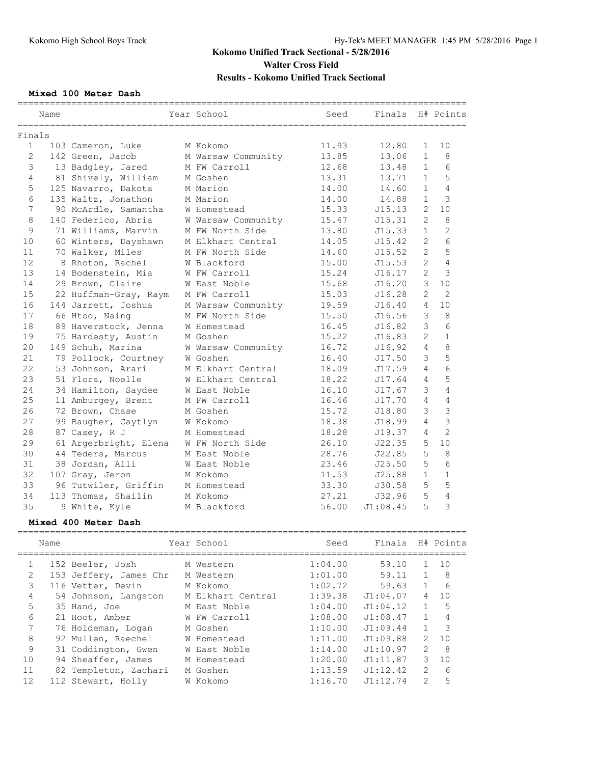## **Mixed 100 Meter Dash**

|                | Name   |                       | Year School        | Seed  | Finals   |                | H# Points      |
|----------------|--------|-----------------------|--------------------|-------|----------|----------------|----------------|
|                | Finals |                       |                    |       |          |                |                |
| $\mathbf{1}$   |        | 103 Cameron, Luke     | M Kokomo           | 11.93 | 12.80    | $\mathbf{1}$   | 10             |
| $\mathbf{2}$   |        | 142 Green, Jacob      | M Warsaw Community | 13.85 | 13.06    | $\mathbf{1}$   | 8              |
| 3              |        | 13 Badgley, Jared     | M FW Carroll       | 12.68 | 13.48    | $\mathbf{1}$   | 6              |
| 4              |        | 81 Shively, William   | M Goshen           | 13.31 | 13.71    | $\mathbf{1}$   | 5              |
| 5              |        | 125 Navarro, Dakota   | M Marion           | 14.00 | 14.60    | $\mathbf{1}$   | $\overline{4}$ |
| 6              |        | 135 Waltz, Jonathon   | M Marion           | 14.00 | 14.88    | $\mathbf{1}$   | 3              |
| $\overline{7}$ |        | 90 McArdle, Samantha  | W Homestead        | 15.33 | J15.13   | $\overline{2}$ | 10             |
| 8              |        | 140 Federico, Abria   | W Warsaw Community | 15.47 | J15.31   | $\overline{2}$ | 8              |
| 9              |        | 71 Williams, Marvin   | M FW North Side    | 13.80 | J15.33   | $\mathbf{1}$   | $\overline{2}$ |
| 10             |        | 60 Winters, Dayshawn  | M Elkhart Central  | 14.05 | J15.42   | $\overline{2}$ | 6              |
| 11             |        | 70 Walker, Miles      | M FW North Side    | 14.60 | J15.52   | $\overline{2}$ | 5              |
| 12             |        | 8 Rhoton, Rachel      | W Blackford        | 15.00 | J15.53   | $\overline{2}$ | 4              |
| 13             |        | 14 Bodenstein, Mia    | W FW Carroll       | 15.24 | J16.17   | $\overline{2}$ | 3              |
| 14             |        | 29 Brown, Claire      | W East Noble       | 15.68 | J16.20   | 3              | 10             |
| 15             |        | 22 Huffman-Gray, Raym | M FW Carroll       | 15.03 | J16.28   | $\overline{c}$ | $\overline{2}$ |
| 16             |        | 144 Jarrett, Joshua   | M Warsaw Community | 19.59 | J16.40   | $\overline{4}$ | 10             |
| 17             |        | 66 Htoo, Nainq        | M FW North Side    | 15.50 | J16.56   | 3              | 8              |
| 18             |        | 89 Haverstock, Jenna  | W Homestead        | 16.45 | J16.82   | 3              | 6              |
| 19             |        | 75 Hardesty, Austin   | M Goshen           | 15.22 | J16.83   | $\mathfrak{D}$ | $\mathbf{1}$   |
| 20             |        | 149 Schuh, Marina     | W Warsaw Community | 16.72 | J16.92   | 4              | $\mathsf{R}$   |
| 21             |        | 79 Pollock, Courtney  | W Goshen           | 16.40 | J17.50   | 3              | 5              |
| 22             |        | 53 Johnson, Arari     | M Elkhart Central  | 18.09 | J17.59   | 4              | 6              |
| 23             |        | 51 Flora, Noelle      | W Elkhart Central  | 18.22 | J17.64   | 4              | 5              |
| 24             |        | 34 Hamilton, Saydee   | W East Noble       | 16.10 | J17.67   | 3              | 4              |
| 25             |        | 11 Amburgey, Brent    | M FW Carroll       | 16.46 | J17.70   | $\overline{4}$ | $\overline{4}$ |
| 26             |        | 72 Brown, Chase       | M Goshen           | 15.72 | J18.80   | 3              | $\overline{3}$ |
| 27             |        | 99 Baugher, Caytlyn   | W Kokomo           | 18.38 | J18.99   | $\overline{4}$ | 3              |
| 28             |        | 87 Casey, R J         | M Homestead        | 18.28 | J19.37   | 4              | $\overline{2}$ |
| 29             |        | 61 Argerbright, Elena | W FW North Side    | 26.10 | J22.35   | 5              | 10             |
| 30             |        | 44 Teders, Marcus     | M East Noble       | 28.76 | J22.85   | 5              | 8              |
| 31             |        | 38 Jordan, Alli       | W East Noble       | 23.46 | J25.50   | 5              | 6              |
| 32             |        | 107 Gray, Jeron       | M Kokomo           | 11.53 | J25.88   | $\mathbf{1}$   | $\mathbf{1}$   |
| 33             |        | 96 Tutwiler, Griffin  | M Homestead        | 33.30 | J30.58   | 5              | 5              |
| 34             |        | 113 Thomas, Shailin   | M Kokomo           | 27.21 | J32.96   | 5              | 4              |
| 35             |        | 9 White, Kyle         | M Blackford        | 56.00 | J1:08.45 | 5              | 3              |
|                |        |                       |                    |       |          |                |                |

### **Mixed 400 Meter Dash**

|    | Name |                        | Year School       | Seed    | Finals   |                | H# Points     |
|----|------|------------------------|-------------------|---------|----------|----------------|---------------|
| 1  |      | 152 Beeler, Josh       | M Western         | 1:04.00 | 59.10    | $\mathbf{1}$   | 1 O           |
| 2  |      | 153 Jeffery, James Chr | M Western         | 1:01.00 | 59.11    | $\mathbf{1}$   | 8             |
| 3  |      | 116 Vetter, Devin      | M Kokomo          | 1:02.72 | 59.63    | $\mathbf{1}$   | 6             |
| 4  |      | 54 Johnson, Langston   | M Elkhart Central | 1:39.38 | J1:04.07 | $\overline{4}$ | 10            |
| 5  |      | 35 Hand, Joe           | M East Noble      | 1:04.00 | J1:04.12 | $\mathbf{1}$   | 5             |
| 6  |      | 21 Hoot, Amber         | W FW Carroll      | 1:08.00 | J1:08.47 | $\mathbf{1}$   |               |
|    |      | 76 Holdeman, Logan     | M Goshen          | 1:10.00 | J1:09.44 | $\mathbf{1}$   | $\mathcal{R}$ |
| 8  |      | 92 Mullen, Raechel     | W Homestead       | 1:11.00 | J1:09.88 | $\mathcal{L}$  | 10            |
| 9  |      | 31 Coddington, Gwen    | W East Noble      | 1:14.00 | J1:10.97 | $\mathcal{L}$  | 8             |
| 10 |      | 94 Sheaffer, James     | M Homestead       | 1:20.00 | J1:11.87 | 3              | 10            |
| 11 |      | 82 Templeton, Zachari  | M Goshen          | 1:13.59 | J1:12.42 | $\mathcal{L}$  | 6             |
| 12 |      | 112 Stewart, Holly     | W Kokomo          | 1:16.70 | J1:12.74 | $\overline{2}$ | 5             |
|    |      |                        |                   |         |          |                |               |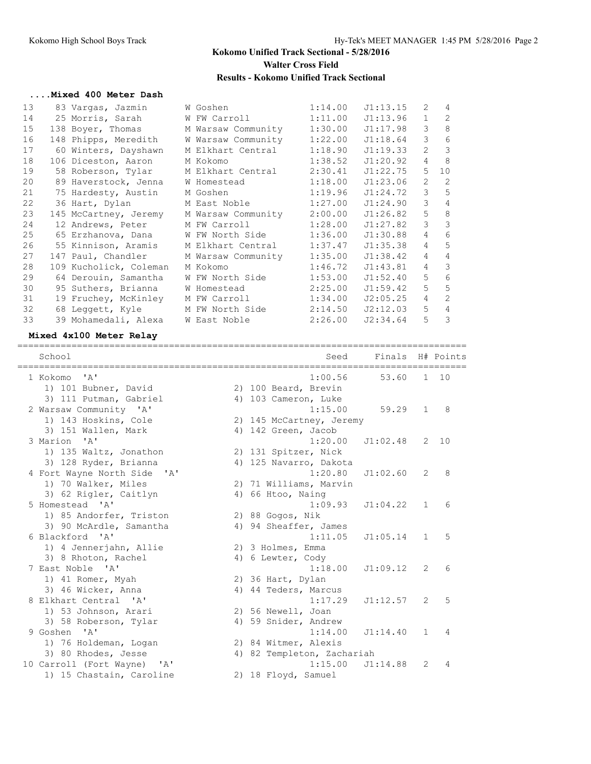#### **....Mixed 400 Meter Dash**

| 13 | 83 Vargas, Jazmin                    | W Goshen                                                                                                        | 1:14.00 | J1:13.15 | 2              | 4              |
|----|--------------------------------------|-----------------------------------------------------------------------------------------------------------------|---------|----------|----------------|----------------|
| 14 | 25 Morris, Sarah                     | W FW Carroll The Management of the Management of the Second State of the West of the State of the West of the S | 1:11.00 | J1:13.96 | $\mathbf{1}$   | 2              |
| 15 | 138 Boyer, Thomas M Warsaw Community |                                                                                                                 | 1:30.00 | J1:17.98 | 3              | 8              |
| 16 | 148 Phipps, Meredith                 | W Warsaw Community                                                                                              | 1:22.00 | J1:18.64 | 3              | 6              |
| 17 | 60 Winters, Dayshawn                 | M Elkhart Central                                                                                               | 1:18.90 | J1:19.33 | $\overline{2}$ | 3              |
| 18 | 106 Diceston, Aaron                  | M Kokomo                                                                                                        | 1:38.52 | J1:20.92 | $\overline{4}$ | 8              |
| 19 | 58 Roberson, Tylar                   | M Elkhart Central                                                                                               | 2:30.41 | J1:22.75 | 5              | 10             |
| 20 | 89 Haverstock, Jenna                 | W Homestead                                                                                                     | 1:18.00 | J1:23.06 | 2              | 2              |
| 21 | 75 Hardesty, Austin                  | M Goshen                                                                                                        | 1:19.96 | J1:24.72 | 3              | 5              |
| 22 | 36 Hart, Dylan                       | M East Noble the State of the Model                                                                             | 1:27.00 | J1:24.90 | 3              | $\overline{4}$ |
| 23 | 145 McCartney, Jeremy                | M Warsaw Community                                                                                              | 2:00.00 | J1:26.82 | 5              | 8              |
| 24 | 12 Andrews, Peter                    | M FW Carroll                                                                                                    | 1:28.00 | J1:27.82 | 3              | 3              |
| 25 | 65 Erzhanova, Dana                   | W FW North Side                                                                                                 | 1:36.00 | J1:30.88 | $\overline{4}$ | 6              |
| 26 | 55 Kinnison, Aramis                  | M Elkhart Central                                                                                               | 1:37.47 | J1:35.38 | $\overline{4}$ | 5              |
| 27 | 147 Paul, Chandler                   | M Warsaw Community                                                                                              | 1:35.00 | J1:38.42 | $\overline{4}$ | $\overline{4}$ |
| 28 | 109 Kucholick, Coleman               | M Kokomo                                                                                                        | 1:46.72 | J1:43.81 | $\overline{4}$ | 3              |
| 29 | 64 Derouin, Samantha                 | W FW North Side                                                                                                 | 1:53.00 | J1:52.40 | 5              | 6              |
| 30 | 95 Suthers, Brianna                  | W Homestead                                                                                                     | 2:25.00 | J1:59.42 | 5              | 5              |
| 31 | 19 Fruchey, McKinley                 | M FW Carroll                                                                                                    | 1:34.00 | J2:05.25 | $\overline{4}$ | $\overline{2}$ |
| 32 | 68 Leggett, Kyle                     | M FW North Side                                                                                                 | 2:14.50 | J2:12.03 | 5              | $\overline{4}$ |
| 33 | 39 Mohamedali, Alexa W East Noble    |                                                                                                                 | 2:26.00 | J2:34.64 | 5              | 3              |

#### **Mixed 4x100 Meter Relay**

=================================================================================== School Seed Finals H# Points =================================================================================== 1 Kokomo 'A' 1:00.56 53.60 1 10 1) 101 Bubner, David 2) 100 Beard, Brevin 3) 111 Putman, Gabriel (4) 4) 103 Cameron, Luke 2 Warsaw Community 'A' 1:15.00 59.29 1 8 1) 143 Hoskins, Cole 2) 145 McCartney, Jeremy 3) 151 Wallen, Mark (4) 40 41 42 Green, Jacob 3 Marion 'A' 1:20.00 J1:02.48 2 10 1) 135 Waltz, Jonathon 2) 131 Spitzer, Nick 3) 128 Ryder, Brianna 4) 125 Navarro, Dakota 4 Fort Wayne North Side 'A' 1:20.80 J1:02.60 2 8 1) 70 Walker, Miles 2) 71 Williams, Marvin 3) 62 Rigler, Caitlyn (4) 66 Htoo, Naing 5 Homestead 'A' 1:09.93 J1:04.22 1 6 1) 85 Andorfer, Triston 2) 88 Gogos, Nik 3) 90 McArdle, Samantha 4) 94 Sheaffer, James 6 Blackford 'A' 1:11.05 J1:05.14 1 5 1) 4 Jennerjahn, Allie 2) 3 Holmes, Emma 3) 8 Rhoton, Rachel (4) 6 Lewter, Cody 7 East Noble 'A' 1:18.00 J1:09.12 2 6 1) 41 Romer, Myah 2) 36 Hart, Dylan 3) 46 Wicker, Anna 1988 (4) 44 Teders, Marcus 8 Elkhart Central 'A' 1:17.29 J1:12.57 2 5 1) 53 Johnson, Arari 2) 56 Newell, Joan 3) 58 Roberson, Tylar (4) 59 Snider, Andrew 9 Goshen 'A' 1:14.00 J1:14.40 1 4 1) 76 Holdeman, Logan 1988 2) 84 Witmer, Alexis 3) 80 Rhodes, Jesse 4) 82 Templeton, Zachariah 10 Carroll (Fort Wayne) 'A' 1:15.00 J1:14.88 2 4 1) 15 Chastain, Caroline 2) 18 Floyd, Samuel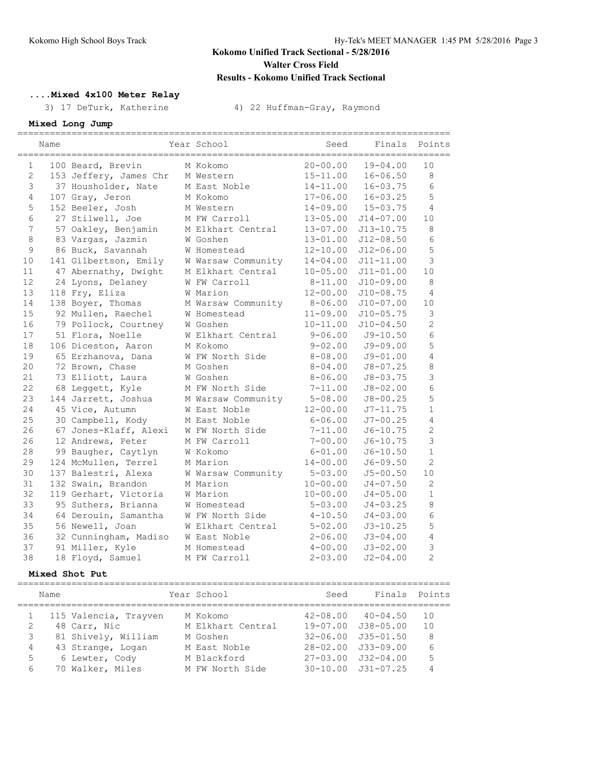## **....Mixed 4x100 Meter Relay**

3) 17 DeTurk, Katherine 4) 22 Huffman-Gray, Raymond

## **Mixed Long Jump**

|                | Name |                        | Year School        | Seed         | Finals        | Points          |
|----------------|------|------------------------|--------------------|--------------|---------------|-----------------|
| $\mathbf{1}$   |      | 100 Beard, Brevin      | M Kokomo           | $20 - 00.00$ | $19 - 04.00$  | 10              |
| $\overline{c}$ |      | 153 Jeffery, James Chr | M Western          | $15 - 11.00$ | $16 - 06.50$  | $\,8\,$         |
| 3              |      | 37 Housholder, Nate    | M East Noble       | $14 - 11.00$ | $16 - 03.75$  | $6\overline{6}$ |
| $\overline{4}$ |      | 107 Gray, Jeron        | M Kokomo           | $17 - 06.00$ | $16 - 03.25$  | 5               |
| 5              |      | 152 Beeler, Josh       | M Western          | $14 - 09.00$ | $15 - 03.75$  | 4               |
| 6              |      | 27 Stilwell, Joe       | M FW Carroll       | 13-05.00     | $J14 - 07.00$ | 10              |
| $\overline{7}$ |      | 57 Oakley, Benjamin    | M Elkhart Central  | 13-07.00     | $J13 - 10.75$ | $\,8\,$         |
| $\,8\,$        |      | 83 Vargas, Jazmin      | W Goshen           | $13 - 01.00$ | $J12 - 08.50$ | 6               |
| 9              |      | 86 Buck, Savannah      | W Homestead        | 12-10.00     | $J12 - 06.00$ | 5               |
| 10             |      | 141 Gilbertson, Emily  | W Warsaw Community | 14-04.00     | $J11 - 11.00$ | 3               |
| 11             |      | 47 Abernathy, Dwight   | M Elkhart Central  | $10 - 05.00$ | $J11 - 01.00$ | 10              |
| 12             |      | 24 Lyons, Delaney      | W FW Carroll       | $8 - 11.00$  | $J10-09.00$   | 8               |
| 13             |      | 118 Fry, Eliza         | W Marion           | $12 - 00.00$ | $J10-08.75$   | $\overline{4}$  |
| 14             |      | 138 Boyer, Thomas      | M Warsaw Community | $8 - 06.00$  | $J10-07.00$   | 10              |
| 15             |      | 92 Mullen, Raechel     | W Homestead        | $11 - 09.00$ | $J10 - 05.75$ | 3               |
| 16             |      | 79 Pollock, Courtney   | W Goshen           | $10 - 11.00$ | $J10 - 04.50$ | $\overline{2}$  |
| 17             |      | 51 Flora, Noelle       | W Elkhart Central  | $9 - 06.00$  | $J9 - 10.50$  | 6               |
| 18             |      | 106 Diceston, Aaron    | M Kokomo           | $9 - 02.00$  | J9-09.00      | 5               |
| 19             |      | 65 Erzhanova, Dana     | W FW North Side    | $8 - 08.00$  | J9-01.00      | 4               |
| 20             |      | 72 Brown, Chase        | M Goshen           | $8 - 04.00$  | $J8 - 07.25$  | 8               |
| 21             |      | 73 Elliott, Laura      | W Goshen           | $8 - 06.00$  | $J8 - 03.75$  | 3               |
| 22             |      | 68 Leggett, Kyle       | M FW North Side    | $7 - 11.00$  | $J8 - 02.00$  | 6               |
| 23             |      | 144 Jarrett, Joshua    | M Warsaw Community | $5 - 08.00$  | $J8 - 00.25$  | 5               |
| 24             |      | 45 Vice, Autumn        | W East Noble       | $12 - 00.00$ | J7-11.75      | $\mathbf{1}$    |
| 25             |      | 30 Campbell, Kody      | M East Noble       | $6 - 06.00$  | $J7 - 00.25$  | 4               |
| 26             |      | 67 Jones-Klaff, Alexi  | W FW North Side    | $7 - 11.00$  | $J6 - 10.75$  | $\overline{2}$  |
| 26             |      | 12 Andrews, Peter      | M FW Carroll       | $7 - 00.00$  | $J6 - 10.75$  | 3               |
| 28             |      | 99 Baugher, Caytlyn    | W Kokomo           | $6 - 01.00$  | $J6 - 10.50$  | $\mathbf{1}$    |
| 29             |      | 124 McMullen, Terrel   | M Marion           | $14 - 00.00$ | $J6 - 09.50$  | $\overline{2}$  |
| 30             |      | 137 Balestri, Alexa    | W Warsaw Community | $5 - 03.00$  | $J5 - 00.50$  | 10              |
| 31             |      | 132 Swain, Brandon     | M Marion           | $10 - 00.00$ | $J4 - 07.50$  | $\overline{c}$  |
| 32             |      | 119 Gerhart, Victoria  | W Marion           | $10 - 00.00$ | $J4 - 05.00$  | $\mathbf{1}$    |
| 33             |      | 95 Suthers, Brianna    | W Homestead        | $5 - 03.00$  | $J4 - 03.25$  | 8               |
| 34             |      | 64 Derouin, Samantha   | W FW North Side    | $4 - 10.50$  | $J4 - 03.00$  | $6\phantom{.}6$ |
| 35             |      | 56 Newell, Joan        | W Elkhart Central  | $5 - 02.00$  | $J3 - 10.25$  | 5               |
| 36             |      | 32 Cunningham, Madiso  | W East Noble       | $2 - 06.00$  | $J3 - 04.00$  | $\overline{4}$  |
| 37             |      | 91 Miller, Kyle        | M Homestead        | $4 - 00.00$  | $J3 - 02.00$  | 3               |
| 38             |      | 18 Floyd, Samuel       | M FW Carroll       | $2 - 03.00$  | $J2 - 04.00$  | $\overline{2}$  |
|                |      |                        |                    |              |               |                 |

### **Mixed Shot Put**

|   | Name |                       | Year School       | Seed | Finals Points              |     |
|---|------|-----------------------|-------------------|------|----------------------------|-----|
|   |      | 115 Valencia, Trayven | M Kokomo          |      | $42 - 08.00$ $40 - 04.50$  | 1 O |
| 2 |      | 48 Carr, Nic          | M Elkhart Central |      | 19-07.00 J38-05.00         | 10  |
| 3 |      | 81 Shively, William   | M Goshen          |      | $32 - 06.00$ $J35 - 01.50$ | 8   |
| 4 |      | 43 Strange, Logan     | M East Noble      |      | 28-02.00 J33-09.00         | 6   |
| 5 |      | 6 Lewter, Cody        | M Blackford       |      | 27-03.00 J32-04.00         | 5   |
| 6 |      | 70 Walker, Miles      | M FW North Side   |      | 30-10.00 J31-07.25         | 4   |